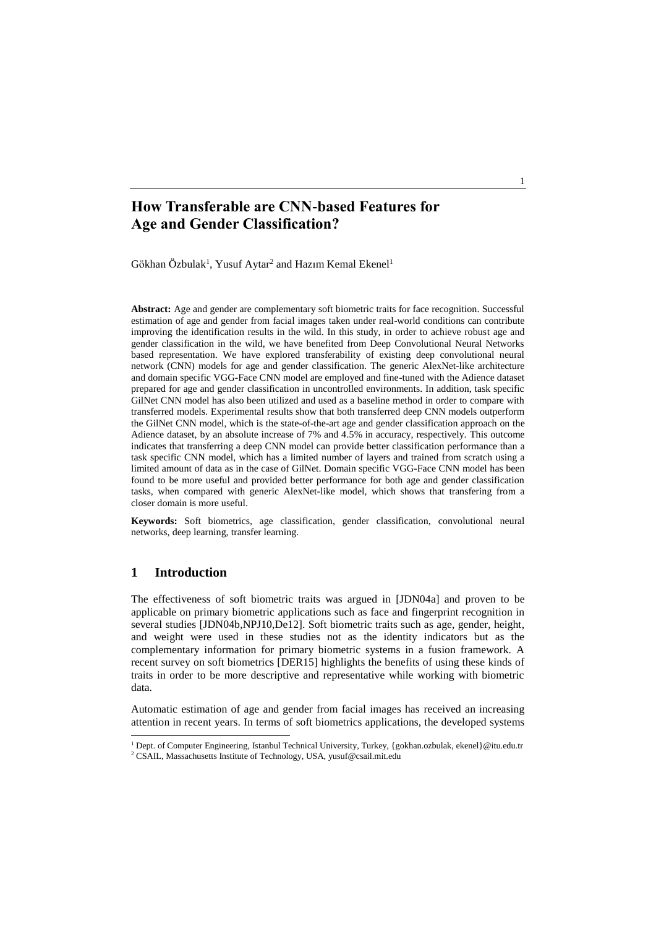Gökhan Özbulak<sup>1</sup>, Yusuf Aytar<sup>2</sup> and Hazım Kemal Ekenel<sup>1</sup>

**Abstract:** Age and gender are complementary soft biometric traits for face recognition. Successful estimation of age and gender from facial images taken under real-world conditions can contribute improving the identification results in the wild. In this study, in order to achieve robust age and gender classification in the wild, we have benefited from Deep Convolutional Neural Networks based representation. We have explored transferability of existing deep convolutional neural network (CNN) models for age and gender classification. The generic AlexNet-like architecture and domain specific VGG-Face CNN model are employed and fine-tuned with the Adience dataset prepared for age and gender classification in uncontrolled environments. In addition, task specific GilNet CNN model has also been utilized and used as a baseline method in order to compare with transferred models. Experimental results show that both transferred deep CNN models outperform the GilNet CNN model, which is the state-of-the-art age and gender classification approach on the Adience dataset, by an absolute increase of 7% and 4.5% in accuracy, respectively. This outcome indicates that transferring a deep CNN model can provide better classification performance than a task specific CNN model, which has a limited number of layers and trained from scratch using a limited amount of data as in the case of GilNet. Domain specific VGG-Face CNN model has been found to be more useful and provided better performance for both age and gender classification tasks, when compared with generic AlexNet-like model, which shows that transfering from a closer domain is more useful.

**Keywords:** Soft biometrics, age classification, gender classification, convolutional neural networks, deep learning, transfer learning.

## **1 Introduction**

 $\overline{a}$ 

The effectiveness of soft biometric traits was argued in [JDN04a] and proven to be applicable on primary biometric applications such as face and fingerprint recognition in several studies [JDN04b,NPJ10,De12]. Soft biometric traits such as age, gender, height, and weight were used in these studies not as the identity indicators but as the complementary information for primary biometric systems in a fusion framework. A recent survey on soft biometrics [DER15] highlights the benefits of using these kinds of traits in order to be more descriptive and representative while working with biometric data.

Automatic estimation of age and gender from facial images has received an increasing attention in recent years. In terms of soft biometrics applications, the developed systems

<sup>1</sup> Dept. of Computer Engineering, Istanbul Technical University, Turkey, {gokhan.ozbulak, ekenel}@itu.edu.tr <sup>2</sup> CSAIL, Massachusetts Institute of Technology, USA, yusuf@csail.mit.edu

1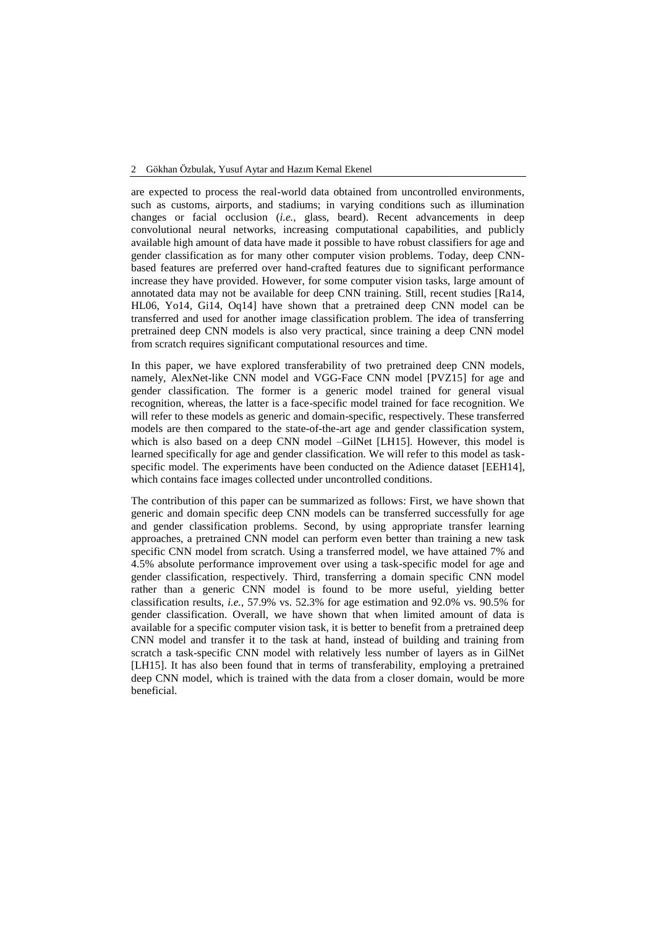are expected to process the real-world data obtained from uncontrolled environments, such as customs, airports, and stadiums; in varying conditions such as illumination changes or facial occlusion (*i.e.,* glass, beard). Recent advancements in deep convolutional neural networks, increasing computational capabilities, and publicly available high amount of data have made it possible to have robust classifiers for age and gender classification as for many other computer vision problems. Today, deep CNNbased features are preferred over hand-crafted features due to significant performance increase they have provided. However, for some computer vision tasks, large amount of annotated data may not be available for deep CNN training. Still, recent studies [Ra14, HL06, Yo14, Gi14, Oq14] have shown that a pretrained deep CNN model can be transferred and used for another image classification problem. The idea of transferring pretrained deep CNN models is also very practical, since training a deep CNN model from scratch requires significant computational resources and time.

In this paper, we have explored transferability of two pretrained deep CNN models, namely, AlexNet-like CNN model and VGG-Face CNN model [PVZ15] for age and gender classification. The former is a generic model trained for general visual recognition, whereas, the latter is a face-specific model trained for face recognition. We will refer to these models as generic and domain-specific, respectively. These transferred models are then compared to the state-of-the-art age and gender classification system, which is also based on a deep CNN model –GilNet [LH15]. However, this model is learned specifically for age and gender classification. We will refer to this model as taskspecific model. The experiments have been conducted on the Adience dataset [EEH14], which contains face images collected under uncontrolled conditions.

The contribution of this paper can be summarized as follows: First, we have shown that generic and domain specific deep CNN models can be transferred successfully for age and gender classification problems. Second, by using appropriate transfer learning approaches, a pretrained CNN model can perform even better than training a new task specific CNN model from scratch. Using a transferred model, we have attained 7% and 4.5% absolute performance improvement over using a task-specific model for age and gender classification, respectively. Third, transferring a domain specific CNN model rather than a generic CNN model is found to be more useful, yielding better classification results, *i.e.*, 57.9% vs. 52.3% for age estimation and 92.0% vs. 90.5% for gender classification. Overall, we have shown that when limited amount of data is available for a specific computer vision task, it is better to benefit from a pretrained deep CNN model and transfer it to the task at hand, instead of building and training from scratch a task-specific CNN model with relatively less number of layers as in GilNet [LH15]. It has also been found that in terms of transferability, employing a pretrained deep CNN model, which is trained with the data from a closer domain, would be more beneficial.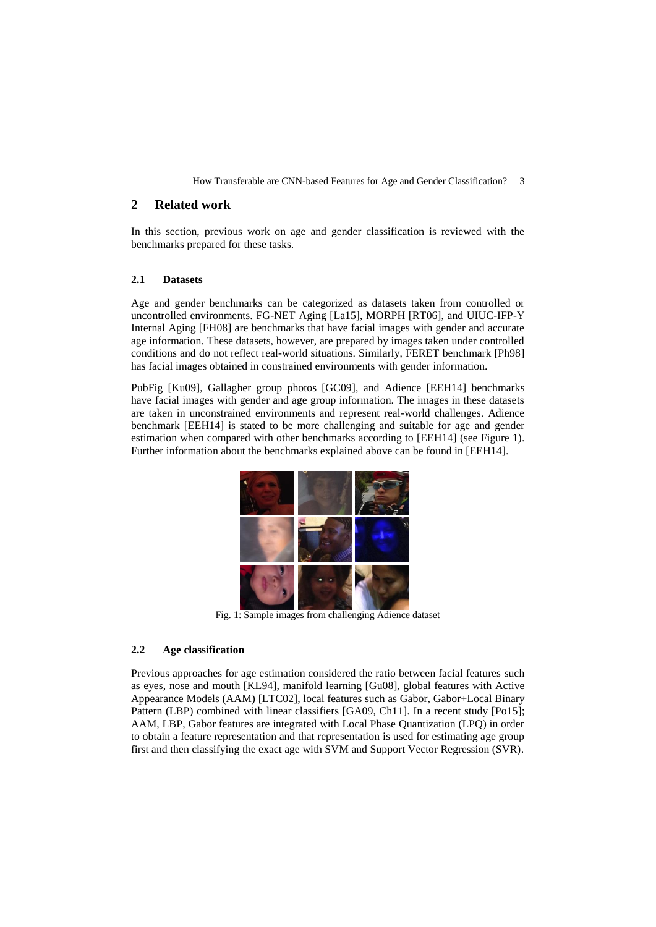## **2 Related work**

In this section, previous work on age and gender classification is reviewed with the benchmarks prepared for these tasks.

### **2.1 Datasets**

Age and gender benchmarks can be categorized as datasets taken from controlled or uncontrolled environments. FG-NET Aging [La15], MORPH [RT06], and UIUC-IFP-Y Internal Aging [FH08] are benchmarks that have facial images with gender and accurate age information. These datasets, however, are prepared by images taken under controlled conditions and do not reflect real-world situations. Similarly, FERET benchmark [Ph98] has facial images obtained in constrained environments with gender information.

PubFig [Ku09], Gallagher group photos [GC09], and Adience [EEH14] benchmarks have facial images with gender and age group information. The images in these datasets are taken in unconstrained environments and represent real-world challenges. Adience benchmark [EEH14] is stated to be more challenging and suitable for age and gender estimation when compared with other benchmarks according to [EEH14] (see Figure 1). Further information about the benchmarks explained above can be found in [EEH14].



Fig. 1: Sample images from challenging Adience dataset

### **2.2 Age classification**

Previous approaches for age estimation considered the ratio between facial features such as eyes, nose and mouth [KL94], manifold learning [Gu08], global features with Active Appearance Models (AAM) [LTC02], local features such as Gabor, Gabor+Local Binary Pattern (LBP) combined with linear classifiers [GA09, Ch11]. In a recent study [Po15]; AAM, LBP, Gabor features are integrated with Local Phase Quantization (LPQ) in order to obtain a feature representation and that representation is used for estimating age group first and then classifying the exact age with SVM and Support Vector Regression (SVR).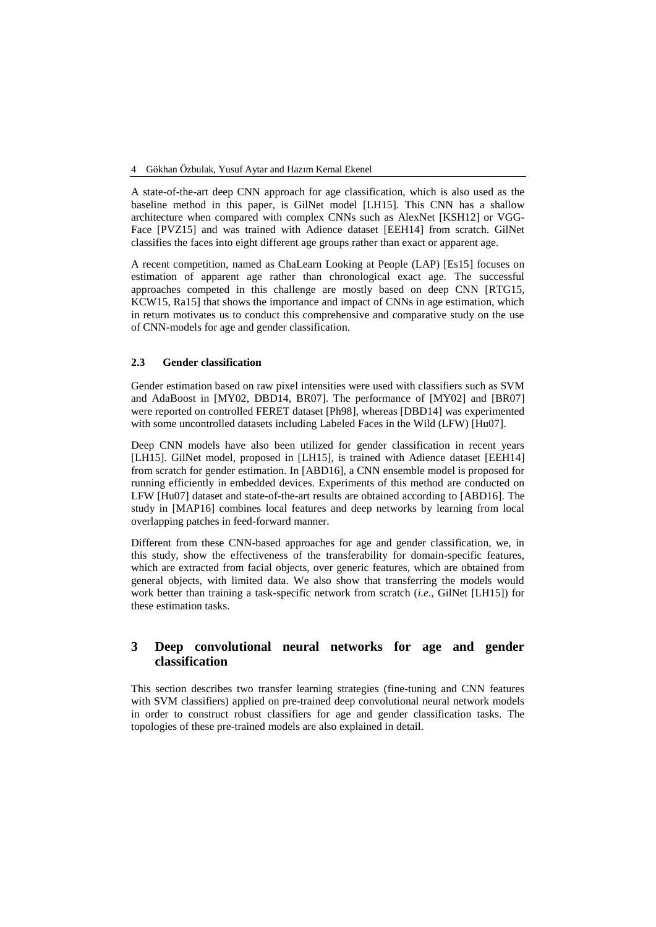A state-of-the-art deep CNN approach for age classification, which is also used as the baseline method in this paper, is GilNet model [LH15]. This CNN has a shallow architecture when compared with complex CNNs such as AlexNet [KSH12] or VGG-Face [PVZ15] and was trained with Adience dataset [EEH14] from scratch. GilNet classifies the faces into eight different age groups rather than exact or apparent age.

A recent competition, named as ChaLearn Looking at People (LAP) [Es15] focuses on estimation of apparent age rather than chronological exact age. The successful approaches competed in this challenge are mostly based on deep CNN [RTG15, KCW15, Ra15] that shows the importance and impact of CNNs in age estimation, which in return motivates us to conduct this comprehensive and comparative study on the use of CNN-models for age and gender classification.

### **2.3 Gender classification**

Gender estimation based on raw pixel intensities were used with classifiers such as SVM and AdaBoost in [MY02, DBD14, BR07]. The performance of [MY02] and [BR07] were reported on controlled FERET dataset [Ph98], whereas [DBD14] was experimented with some uncontrolled datasets including Labeled Faces in the Wild (LFW) [Hu07].

Deep CNN models have also been utilized for gender classification in recent years [LH15]. GilNet model, proposed in [LH15], is trained with Adience dataset [EEH14] from scratch for gender estimation. In [ABD16], a CNN ensemble model is proposed for running efficiently in embedded devices. Experiments of this method are conducted on LFW [Hu07] dataset and state-of-the-art results are obtained according to [ABD16]. The study in [MAP16] combines local features and deep networks by learning from local overlapping patches in feed-forward manner.

Different from these CNN-based approaches for age and gender classification, we, in this study, show the effectiveness of the transferability for domain-specific features, which are extracted from facial objects, over generic features, which are obtained from general objects, with limited data. We also show that transferring the models would work better than training a task-specific network from scratch (*i.e.,* GilNet [LH15]) for these estimation tasks.

## **3 Deep convolutional neural networks for age and gender classification**

This section describes two transfer learning strategies (fine-tuning and CNN features with SVM classifiers) applied on pre-trained deep convolutional neural network models in order to construct robust classifiers for age and gender classification tasks. The topologies of these pre-trained models are also explained in detail.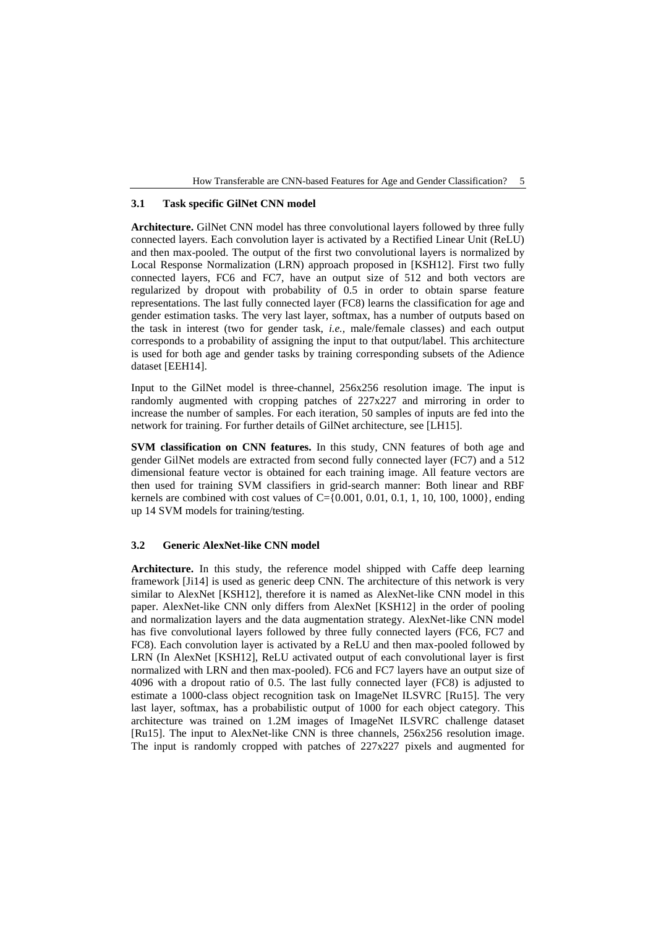#### **3.1 Task specific GilNet CNN model**

**Architecture.** GilNet CNN model has three convolutional layers followed by three fully connected layers. Each convolution layer is activated by a Rectified Linear Unit (ReLU) and then max-pooled. The output of the first two convolutional layers is normalized by Local Response Normalization (LRN) approach proposed in [KSH12]. First two fully connected layers, FC6 and FC7, have an output size of 512 and both vectors are regularized by dropout with probability of 0.5 in order to obtain sparse feature representations. The last fully connected layer (FC8) learns the classification for age and gender estimation tasks. The very last layer, softmax, has a number of outputs based on the task in interest (two for gender task, *i.e.,* male/female classes) and each output corresponds to a probability of assigning the input to that output/label. This architecture is used for both age and gender tasks by training corresponding subsets of the Adience dataset [EEH14].

Input to the GilNet model is three-channel, 256x256 resolution image. The input is randomly augmented with cropping patches of 227x227 and mirroring in order to increase the number of samples. For each iteration, 50 samples of inputs are fed into the network for training. For further details of GilNet architecture, see [LH15].

**SVM classification on CNN features.** In this study, CNN features of both age and gender GilNet models are extracted from second fully connected layer (FC7) and a 512 dimensional feature vector is obtained for each training image. All feature vectors are then used for training SVM classifiers in grid-search manner: Both linear and RBF kernels are combined with cost values of C={0.001, 0.01, 0.1, 1, 10, 100, 1000}, ending up 14 SVM models for training/testing.

#### **3.2 Generic AlexNet-like CNN model**

**Architecture.** In this study, the reference model shipped with Caffe deep learning framework [Ji14] is used as generic deep CNN. The architecture of this network is very similar to AlexNet [KSH12], therefore it is named as AlexNet-like CNN model in this paper. AlexNet-like CNN only differs from AlexNet [KSH12] in the order of pooling and normalization layers and the data augmentation strategy. AlexNet-like CNN model has five convolutional layers followed by three fully connected layers (FC6, FC7 and FC8). Each convolution layer is activated by a ReLU and then max-pooled followed by LRN (In AlexNet [KSH12], ReLU activated output of each convolutional layer is first normalized with LRN and then max-pooled). FC6 and FC7 layers have an output size of 4096 with a dropout ratio of 0.5. The last fully connected layer (FC8) is adjusted to estimate a 1000-class object recognition task on ImageNet ILSVRC [Ru15]. The very last layer, softmax, has a probabilistic output of 1000 for each object category. This architecture was trained on 1.2M images of ImageNet ILSVRC challenge dataset [Ru15]. The input to AlexNet-like CNN is three channels, 256x256 resolution image. The input is randomly cropped with patches of 227x227 pixels and augmented for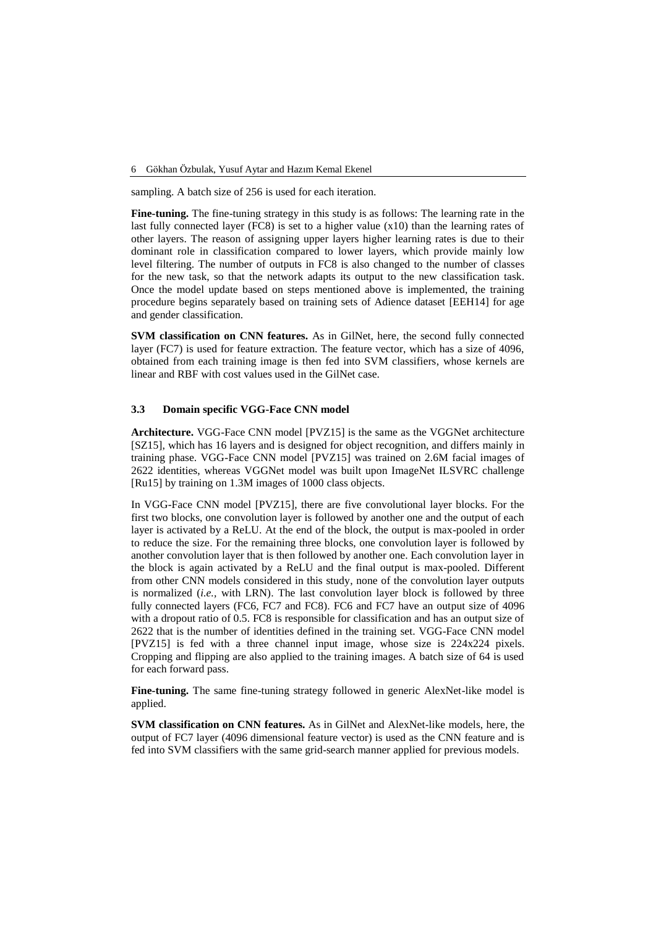sampling. A batch size of 256 is used for each iteration.

**Fine-tuning.** The fine-tuning strategy in this study is as follows: The learning rate in the last fully connected layer (FC8) is set to a higher value  $(x10)$  than the learning rates of other layers. The reason of assigning upper layers higher learning rates is due to their dominant role in classification compared to lower layers, which provide mainly low level filtering. The number of outputs in FC8 is also changed to the number of classes for the new task, so that the network adapts its output to the new classification task. Once the model update based on steps mentioned above is implemented, the training procedure begins separately based on training sets of Adience dataset [EEH14] for age and gender classification.

**SVM classification on CNN features.** As in GilNet, here, the second fully connected layer (FC7) is used for feature extraction. The feature vector, which has a size of 4096, obtained from each training image is then fed into SVM classifiers, whose kernels are linear and RBF with cost values used in the GilNet case.

### **3.3 Domain specific VGG-Face CNN model**

**Architecture.** VGG-Face CNN model [PVZ15] is the same as the VGGNet architecture [SZ15], which has 16 layers and is designed for object recognition, and differs mainly in training phase. VGG-Face CNN model [PVZ15] was trained on 2.6M facial images of 2622 identities, whereas VGGNet model was built upon ImageNet ILSVRC challenge [Ru15] by training on 1.3M images of 1000 class objects.

In VGG-Face CNN model [PVZ15], there are five convolutional layer blocks. For the first two blocks, one convolution layer is followed by another one and the output of each layer is activated by a ReLU. At the end of the block, the output is max-pooled in order to reduce the size. For the remaining three blocks, one convolution layer is followed by another convolution layer that is then followed by another one. Each convolution layer in the block is again activated by a ReLU and the final output is max-pooled. Different from other CNN models considered in this study, none of the convolution layer outputs is normalized (*i.e.,* with LRN). The last convolution layer block is followed by three fully connected layers (FC6, FC7 and FC8). FC6 and FC7 have an output size of 4096 with a dropout ratio of 0.5. FC8 is responsible for classification and has an output size of 2622 that is the number of identities defined in the training set. VGG-Face CNN model [PVZ15] is fed with a three channel input image, whose size is 224x224 pixels. Cropping and flipping are also applied to the training images. A batch size of 64 is used for each forward pass.

**Fine-tuning.** The same fine-tuning strategy followed in generic AlexNet-like model is applied.

**SVM classification on CNN features.** As in GilNet and AlexNet-like models, here, the output of FC7 layer (4096 dimensional feature vector) is used as the CNN feature and is fed into SVM classifiers with the same grid-search manner applied for previous models.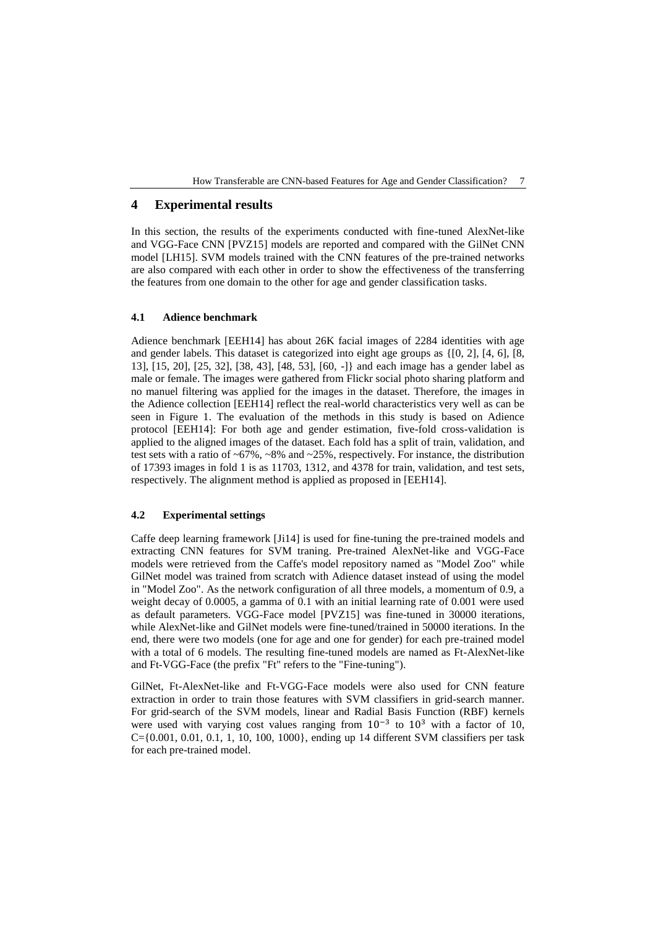## **4 Experimental results**

In this section, the results of the experiments conducted with fine-tuned AlexNet-like and VGG-Face CNN [PVZ15] models are reported and compared with the GilNet CNN model [LH15]. SVM models trained with the CNN features of the pre-trained networks are also compared with each other in order to show the effectiveness of the transferring the features from one domain to the other for age and gender classification tasks.

#### **4.1 Adience benchmark**

Adience benchmark [EEH14] has about 26K facial images of 2284 identities with age and gender labels. This dataset is categorized into eight age groups as {[0, 2], [4, 6], [8, 13], [15, 20], [25, 32], [38, 43], [48, 53], [60, -]} and each image has a gender label as male or female. The images were gathered from Flickr social photo sharing platform and no manuel filtering was applied for the images in the dataset. Therefore, the images in the Adience collection [EEH14] reflect the real-world characteristics very well as can be seen in Figure 1. The evaluation of the methods in this study is based on Adience protocol [EEH14]: For both age and gender estimation, five-fold cross-validation is applied to the aligned images of the dataset. Each fold has a split of train, validation, and test sets with a ratio of  $\sim 67\%$ ,  $\sim 8\%$  and  $\sim 25\%$ , respectively. For instance, the distribution of 17393 images in fold 1 is as 11703, 1312, and 4378 for train, validation, and test sets, respectively. The alignment method is applied as proposed in [EEH14].

#### **4.2 Experimental settings**

Caffe deep learning framework [Ji14] is used for fine-tuning the pre-trained models and extracting CNN features for SVM traning. Pre-trained AlexNet-like and VGG-Face models were retrieved from the Caffe's model repository named as "Model Zoo" while GilNet model was trained from scratch with Adience dataset instead of using the model in "Model Zoo". As the network configuration of all three models, a momentum of 0.9, a weight decay of 0.0005, a gamma of 0.1 with an initial learning rate of 0.001 were used as default parameters. VGG-Face model [PVZ15] was fine-tuned in 30000 iterations, while AlexNet-like and GilNet models were fine-tuned/trained in 50000 iterations. In the end, there were two models (one for age and one for gender) for each pre-trained model with a total of 6 models. The resulting fine-tuned models are named as Ft-AlexNet-like and Ft-VGG-Face (the prefix "Ft" refers to the "Fine-tuning").

GilNet, Ft-AlexNet-like and Ft-VGG-Face models were also used for CNN feature extraction in order to train those features with SVM classifiers in grid-search manner. For grid-search of the SVM models, linear and Radial Basis Function (RBF) kernels were used with varying cost values ranging from  $10^{-3}$  to  $10^{3}$  with a factor of 10,  $C=[0.001, 0.01, 0.1, 1, 10, 100, 1000]$ , ending up 14 different SVM classifiers per task for each pre-trained model.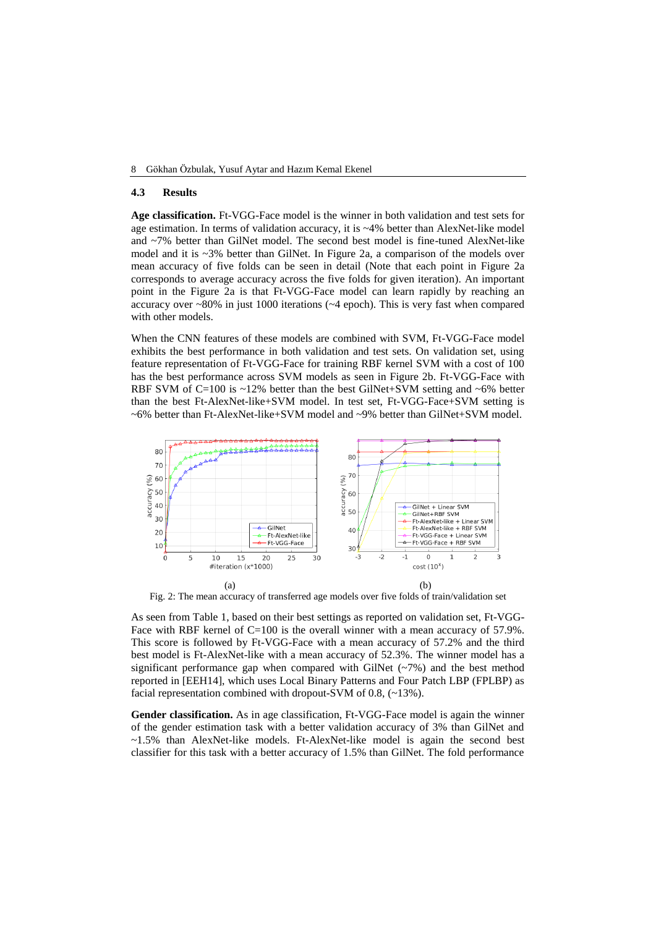#### **4.3 Results**

**Age classification.** Ft-VGG-Face model is the winner in both validation and test sets for age estimation. In terms of validation accuracy, it is ~4% better than AlexNet-like model and ~7% better than GilNet model. The second best model is fine-tuned AlexNet-like model and it is  $\sim$ 3% better than GilNet. In Figure 2a, a comparison of the models over mean accuracy of five folds can be seen in detail (Note that each point in Figure 2a corresponds to average accuracy across the five folds for given iteration). An important point in the Figure 2a is that Ft-VGG-Face model can learn rapidly by reaching an accuracy over  $\sim80\%$  in just 1000 iterations ( $\sim4$  epoch). This is very fast when compared with other models.

When the CNN features of these models are combined with SVM, Ft-VGG-Face model exhibits the best performance in both validation and test sets. On validation set, using feature representation of Ft-VGG-Face for training RBF kernel SVM with a cost of 100 has the best performance across SVM models as seen in Figure 2b. Ft-VGG-Face with RBF SVM of C=100 is  $\sim$ 12% better than the best GilNet+SVM setting and  $\sim$ 6% better than the best Ft-AlexNet-like+SVM model. In test set, Ft-VGG-Face+SVM setting is ~6% better than Ft-AlexNet-like+SVM model and ~9% better than GilNet+SVM model.



Fig. 2: The mean accuracy of transferred age models over five folds of train/validation set

As seen from Table 1, based on their best settings as reported on validation set, Ft-VGG-Face with RBF kernel of C=100 is the overall winner with a mean accuracy of 57.9%. This score is followed by Ft-VGG-Face with a mean accuracy of 57.2% and the third best model is Ft-AlexNet-like with a mean accuracy of 52.3%. The winner model has a significant performance gap when compared with GilNet  $(\sim 7\%)$  and the best method reported in [EEH14], which uses Local Binary Patterns and Four Patch LBP (FPLBP) as facial representation combined with dropout-SVM of 0.8,  $(\sim 13\%)$ .

**Gender classification.** As in age classification, Ft-VGG-Face model is again the winner of the gender estimation task with a better validation accuracy of 3% than GilNet and ~1.5% than AlexNet-like models. Ft-AlexNet-like model is again the second best classifier for this task with a better accuracy of 1.5% than GilNet. The fold performance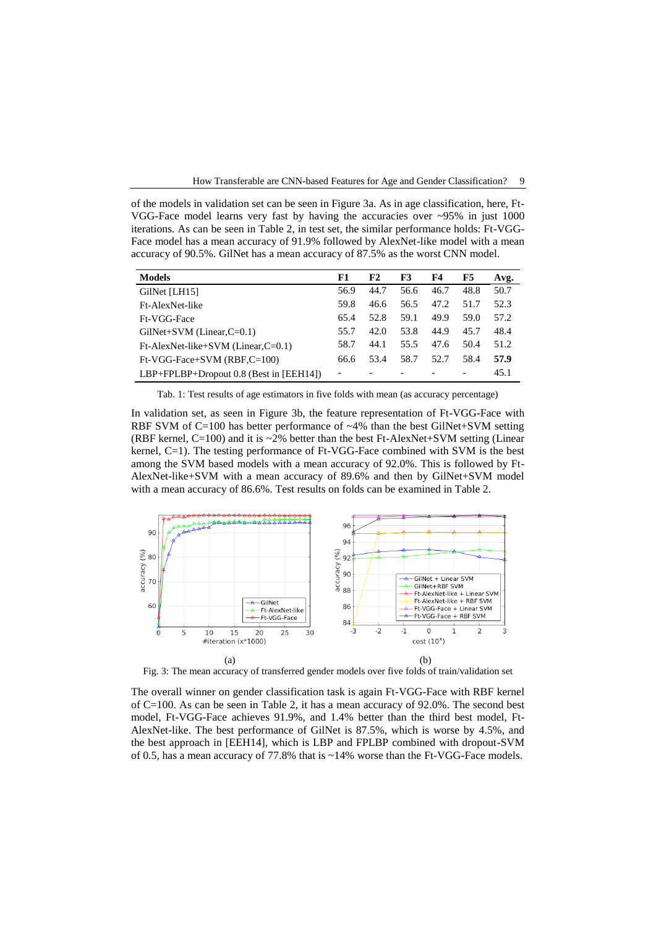of the models in validation set can be seen in Figure 3a. As in age classification, here, Ft-VGG-Face model learns very fast by having the accuracies over  $\sim$ 95% in just 1000 iterations. As can be seen in Table 2, in test set, the similar performance holds: Ft-VGG-Face model has a mean accuracy of 91.9% followed by AlexNet-like model with a mean accuracy of 90.5%. GilNet has a mean accuracy of 87.5% as the worst CNN model.

| <b>Models</b>                             | F1   | F2   | F3   | F4   | F5   | Avg. |
|-------------------------------------------|------|------|------|------|------|------|
| GilNet [LH15]                             | 56.9 | 44.7 | 56.6 | 46.7 | 48.8 | 50.7 |
| Ft-AlexNet-like                           | 59.8 | 46.6 | 56.5 | 47.2 | 51.7 | 52.3 |
| Ft-VGG-Face                               | 65.4 | 52.8 | 59.1 | 49.9 | 59.0 | 57.2 |
| $GiNet+SVM$ (Linear, $C=0.1$ )            | 55.7 | 42.0 | 53.8 | 44.9 | 45.7 | 48.4 |
| $Ft$ -AlexNet-like+SVM (Linear, $C=0.1$ ) | 58.7 | 44.1 | 55.5 | 47.6 | 50.4 | 51.2 |
| $Ft-VGG-Face+SVM (RBF,C=100)$             | 66.6 | 53.4 | 58.7 | 52.7 | 58.4 | 57.9 |
| LBP+FPLBP+Dropout 0.8 (Best in [EEH14])   | -    |      |      |      |      | 45.1 |

Tab. 1: Test results of age estimators in five folds with mean (as accuracy percentage)

In validation set, as seen in Figure 3b, the feature representation of Ft-VGG-Face with RBF SVM of  $C=100$  has better performance of  $\sim$ 4% than the best GilNet+SVM setting (RBF kernel,  $C=100$ ) and it is  $\sim$ 2% better than the best Ft-AlexNet+SVM setting (Linear kernel, C=1). The testing performance of Ft-VGG-Face combined with SVM is the best among the SVM based models with a mean accuracy of 92.0%. This is followed by Ft-AlexNet-like+SVM with a mean accuracy of 89.6% and then by GilNet+SVM model with a mean accuracy of 86.6%. Test results on folds can be examined in Table 2.



Fig. 3: The mean accuracy of transferred gender models over five folds of train/validation set

The overall winner on gender classification task is again Ft-VGG-Face with RBF kernel of C=100. As can be seen in Table 2, it has a mean accuracy of 92.0%. The second best model, Ft-VGG-Face achieves 91.9%, and 1.4% better than the third best model, Ft-AlexNet-like. The best performance of GilNet is 87.5%, which is worse by 4.5%, and the best approach in [EEH14], which is LBP and FPLBP combined with dropout-SVM of 0.5, has a mean accuracy of 77.8% that is ~14% worse than the Ft-VGG-Face models.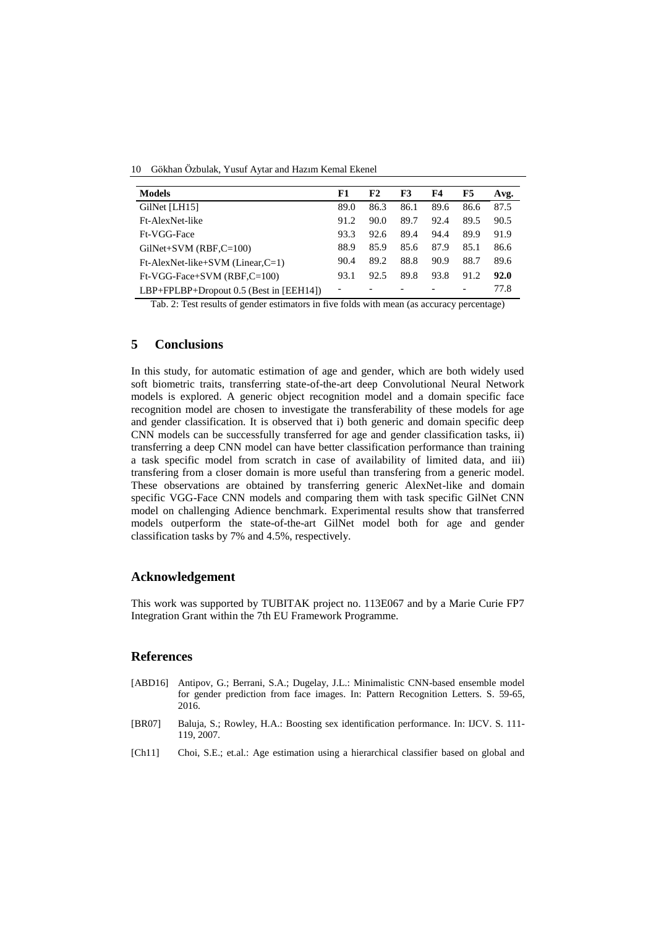10 Gökhan Özbulak, Yusuf Aytar and Hazım Kemal Ekenel

| <b>Models</b>                                 | F1                       | F2   | F3   | F4   | F5   | Avg. |
|-----------------------------------------------|--------------------------|------|------|------|------|------|
| GilNet [LH15]                                 | 89.0                     | 86.3 | 86.1 | 89.6 | 86.6 | 87.5 |
| Ft-AlexNet-like                               | 91.2                     | 90.0 | 89.7 | 92.4 | 89.5 | 90.5 |
| Ft-VGG-Face                                   | 93.3                     | 92.6 | 89.4 | 94.4 | 89.9 | 91.9 |
| $GiNet+SVM (RBF, C=100)$                      | 88.9                     | 85.9 | 85.6 | 87.9 | 85.1 | 86.6 |
| $Ft$ -AlexNet-like+SVM (Linear, $C=1$ )       | 90.4                     | 89.2 | 88.8 | 90.9 | 88.7 | 89.6 |
| $Ft-VGG-Face+SVM (RBF,C=100)$                 | 93.1                     | 92.5 | 89.8 | 93.8 | 91.2 | 92.0 |
| $LBP + FPLBP + Dropout 0.5$ (Best in [EEH14]) | $\overline{\phantom{a}}$ |      |      |      |      | 77.8 |

Tab. 2: Test results of gender estimators in five folds with mean (as accuracy percentage)

## **5 Conclusions**

In this study, for automatic estimation of age and gender, which are both widely used soft biometric traits, transferring state-of-the-art deep Convolutional Neural Network models is explored. A generic object recognition model and a domain specific face recognition model are chosen to investigate the transferability of these models for age and gender classification. It is observed that i) both generic and domain specific deep CNN models can be successfully transferred for age and gender classification tasks, ii) transferring a deep CNN model can have better classification performance than training a task specific model from scratch in case of availability of limited data, and iii) transfering from a closer domain is more useful than transfering from a generic model. These observations are obtained by transferring generic AlexNet-like and domain specific VGG-Face CNN models and comparing them with task specific GilNet CNN model on challenging Adience benchmark. Experimental results show that transferred models outperform the state-of-the-art GilNet model both for age and gender classification tasks by 7% and 4.5%, respectively.

### **Acknowledgement**

This work was supported by TUBITAK project no. 113E067 and by a Marie Curie FP7 Integration Grant within the 7th EU Framework Programme.

### **References**

- [ABD16] Antipov, G.; Berrani, S.A.; Dugelay, J.L.: Minimalistic CNN-based ensemble model for gender prediction from face images. In: Pattern Recognition Letters. S. 59-65, 2016.
- [BR07] Baluja, S.; Rowley, H.A.: Boosting sex identification performance. In: IJCV. S. 111- 119, 2007.
- [Ch11] Choi, S.E.; et.al.: Age estimation using a hierarchical classifier based on global and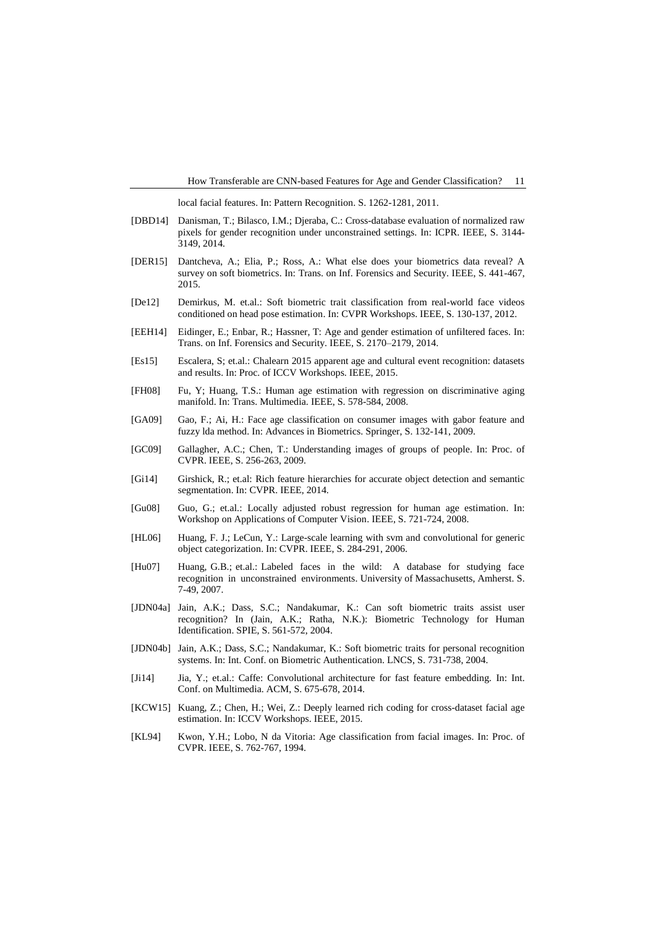local facial features. In: Pattern Recognition. S. 1262-1281, 2011.

- [DBD14] Danisman, T.; Bilasco, I.M.; Djeraba, C.: Cross-database evaluation of normalized raw pixels for gender recognition under unconstrained settings. In: ICPR. IEEE, S. 3144- 3149, 2014.
- [DER15] Dantcheva, A.; Elia, P.; Ross, A.: What else does your biometrics data reveal? A survey on soft biometrics. In: Trans. on Inf. Forensics and Security. IEEE, S. 441-467, 2015.
- [De12] Demirkus, M. et.al.: Soft biometric trait classification from real-world face videos conditioned on head pose estimation. In: CVPR Workshops. IEEE, S. 130-137, 2012.
- [EEH14] Eidinger, E.; Enbar, R.; Hassner, T: Age and gender estimation of unfiltered faces. In: Trans. on Inf. Forensics and Security. IEEE, S. 2170–2179, 2014.
- [Es15] Escalera, S; et.al.: Chalearn 2015 apparent age and cultural event recognition: datasets and results. In: Proc. of ICCV Workshops. IEEE, 2015.
- [FH08] Fu, Y; Huang, T.S.: Human age estimation with regression on discriminative aging manifold. In: Trans. Multimedia. IEEE, S. 578-584, 2008.
- [GA09] Gao, F.; Ai, H.: Face age classification on consumer images with gabor feature and fuzzy lda method. In: Advances in Biometrics. Springer, S. 132-141, 2009.
- [GC09] Gallagher, A.C.; Chen, T.: Understanding images of groups of people. In: Proc. of CVPR. IEEE, S. 256-263, 2009.
- [Gi14] Girshick, R.; et.al: Rich feature hierarchies for accurate object detection and semantic segmentation. In: CVPR. IEEE, 2014.
- [Gu08] Guo, G.; et.al.: Locally adjusted robust regression for human age estimation. In: Workshop on Applications of Computer Vision. IEEE, S. 721-724, 2008.
- [HL06] Huang, F. J.; LeCun, Y.: Large-scale learning with svm and convolutional for generic object categorization. In: CVPR. IEEE, S. 284-291, 2006.
- [Hu07] Huang, G.B.; et.al.: Labeled faces in the wild: A database for studying face recognition in unconstrained environments. University of Massachusetts, Amherst. S. 7-49, 2007.
- [JDN04a] Jain, A.K.; Dass, S.C.; Nandakumar, K.: Can soft biometric traits assist user recognition? In (Jain, A.K.; Ratha, N.K.): Biometric Technology for Human Identification. SPIE, S. 561-572, 2004.
- [JDN04b] Jain, A.K.; Dass, S.C.; Nandakumar, K.: Soft biometric traits for personal recognition systems. In: Int. Conf. on Biometric Authentication. LNCS, S. 731-738, 2004.
- [Ji14] Jia, Y.; et.al.: Caffe: Convolutional architecture for fast feature embedding. In: Int. Conf. on Multimedia. ACM, S. 675-678, 2014.
- [KCW15] Kuang, Z.; Chen, H.; Wei, Z.: Deeply learned rich coding for cross-dataset facial age estimation. In: ICCV Workshops. IEEE, 2015.
- [KL94] Kwon, Y.H.; Lobo, N da Vitoria: Age classification from facial images. In: Proc. of CVPR. IEEE, S. 762-767, 1994.